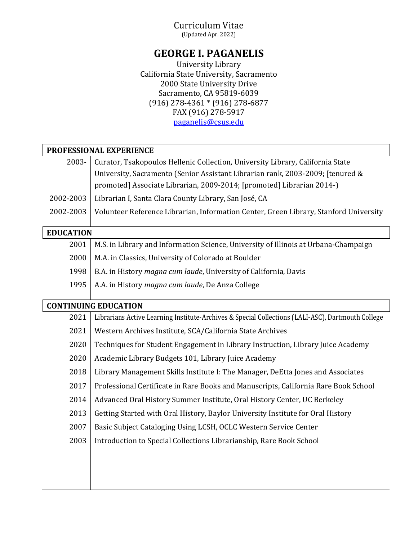## Curriculum Vitae

(Updated Apr. 2022)

# **GEORGE I. PAGANELIS**

University Library California State University, Sacramento 2000 State University Drive Sacramento, CA 95819-6039 (916) 278-4361 \* (916) 278-6877 FAX (916) 278-5917 [paganelis@csus.edu](mailto:paganelis@csus.edu)

| PROFESSIONAL EXPERIENCE |                                                                                                   |
|-------------------------|---------------------------------------------------------------------------------------------------|
| 2003-                   | Curator, Tsakopoulos Hellenic Collection, University Library, California State                    |
|                         | University, Sacramento (Senior Assistant Librarian rank, 2003-2009; [tenured &                    |
|                         | promoted] Associate Librarian, 2009-2014; [promoted] Librarian 2014-)                             |
| 2002-2003               | Librarian I, Santa Clara County Library, San José, CA                                             |
| 2002-2003               | Volunteer Reference Librarian, Information Center, Green Library, Stanford University             |
| <b>EDUCATION</b>        |                                                                                                   |
| 2001                    | M.S. in Library and Information Science, University of Illinois at Urbana-Champaign               |
| 2000                    | M.A. in Classics, University of Colorado at Boulder                                               |
| 1998                    | B.A. in History magna cum laude, University of California, Davis                                  |
| 1995                    | A.A. in History magna cum laude, De Anza College                                                  |
|                         | <b>CONTINUING EDUCATION</b>                                                                       |
| 2021                    | Librarians Active Learning Institute-Archives & Special Collections (LALI-ASC), Dartmouth College |
| 2021                    | Western Archives Institute, SCA/California State Archives                                         |
|                         |                                                                                                   |
| 2020                    | Techniques for Student Engagement in Library Instruction, Library Juice Academy                   |
| 2020                    | Academic Library Budgets 101, Library Juice Academy                                               |
| 2018                    | Library Management Skills Institute I: The Manager, DeEtta Jones and Associates                   |
| 2017                    | Professional Certificate in Rare Books and Manuscripts, California Rare Book School               |
| 2014                    | Advanced Oral History Summer Institute, Oral History Center, UC Berkeley                          |
| 2013                    | Getting Started with Oral History, Baylor University Institute for Oral History                   |
| 2007                    | Basic Subject Cataloging Using LCSH, OCLC Western Service Center                                  |
| 2003                    | Introduction to Special Collections Librarianship, Rare Book School                               |
|                         |                                                                                                   |
|                         |                                                                                                   |
|                         |                                                                                                   |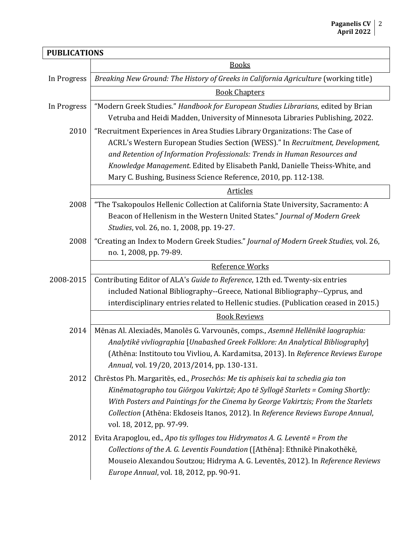| <b>PUBLICATIONS</b> |                                                                                        |
|---------------------|----------------------------------------------------------------------------------------|
|                     | <b>Books</b>                                                                           |
| In Progress         | Breaking New Ground: The History of Greeks in California Agriculture (working title)   |
|                     | <b>Book Chapters</b>                                                                   |
| In Progress         | "Modern Greek Studies." Handbook for European Studies Librarians, edited by Brian      |
|                     | Vetruba and Heidi Madden, University of Minnesota Libraries Publishing, 2022.          |
| 2010                | "Recruitment Experiences in Area Studies Library Organizations: The Case of            |
|                     | ACRL's Western European Studies Section (WESS)." In Recruitment, Development,          |
|                     | and Retention of Information Professionals: Trends in Human Resources and              |
|                     | Knowledge Management. Edited by Elisabeth Pankl, Danielle Theiss-White, and            |
|                     | Mary C. Bushing, Business Science Reference, 2010, pp. 112-138.                        |
|                     | <b>Articles</b>                                                                        |
| 2008                | "The Tsakopoulos Hellenic Collection at California State University, Sacramento: A     |
|                     | Beacon of Hellenism in the Western United States." Journal of Modern Greek             |
|                     | Studies, vol. 26, no. 1, 2008, pp. 19-27.                                              |
| 2008                | "Creating an Index to Modern Greek Studies." Journal of Modern Greek Studies, vol. 26, |
|                     | no. 1, 2008, pp. 79-89.                                                                |
|                     | Reference Works                                                                        |
| 2008-2015           | Contributing Editor of ALA's Guide to Reference, 12th ed. Twenty-six entries           |
|                     | included National Bibliography--Greece, National Bibliography--Cyprus, and             |
|                     | interdisciplinary entries related to Hellenic studies. (Publication ceased in 2015.)   |
|                     | <b>Book Reviews</b>                                                                    |
| 2014                | Mēnas Al. Alexiadēs, Manolēs G. Varvounēs, comps., Asemnē Hellēnikē laographia:        |
|                     | Analytikē vivliographia [Unabashed Greek Folklore: An Analytical Bibliography]         |
|                     | (Athēna: Institouto tou Vivliou, A. Kardamitsa, 2013). In Reference Reviews Europe     |
|                     | Annual, vol. 19/20, 2013/2014, pp. 130-131.                                            |
| 2012                | Chrēstos Ph. Margaritēs, ed., Prosechōs: Me tis aphiseis kai ta schedia gia ton        |
|                     | Kinēmatographo tou Giōrgou Vakirtzē; Apo tē Syllogē Starlets = Coming Shortly:         |
|                     | With Posters and Paintings for the Cinema by George Vakirtzis; From the Starlets       |
|                     | Collection (Athēna: Ekdoseis Itanos, 2012). In Reference Reviews Europe Annual,        |
|                     | vol. 18, 2012, pp. 97-99.                                                              |
| 2012                | Evita Arapoglou, ed., Apo tis sylloges tou Hidrymatos A. G. Leventē = From the         |
|                     | Collections of the A. G. Leventis Foundation ([Athēna]: Ethnikē Pinakothēkē,           |
|                     | Mouseio Alexandou Soutzou; Hidryma A. G. Leventēs, 2012). In Reference Reviews         |
|                     | Europe Annual, vol. 18, 2012, pp. 90-91.                                               |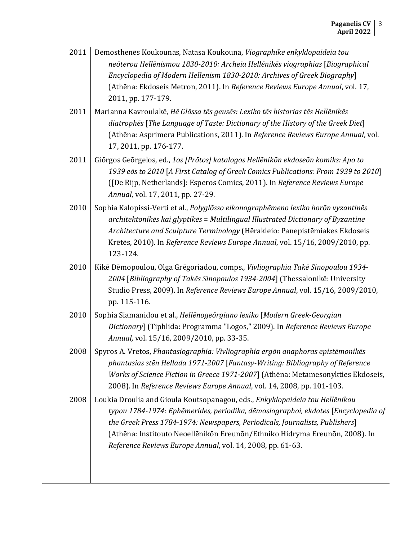| Dēmosthenēs Koukounas, Natasa Koukouna, Viographikē enkyklopaideia tou        |
|-------------------------------------------------------------------------------|
| neōterou Hellēnismou 1830-2010: Archeia Hellēnikēs viographias [Biographical  |
| Encyclopedia of Modern Hellenism 1830-2010: Archives of Greek Biography       |
| (Athēna: Ekdoseis Metron, 2011). In Reference Reviews Europe Annual, vol. 17, |
|                                                                               |
|                                                                               |

- 2011 Marianna Kavroulakē, *Hē Glōssa tēs geusēs: Lexiko tēs historias tēs Hellēnikēs diatrophēs* [*The Language of Taste: Dictionary of the History of the Greek Diet*] (Athēna: Asprimera Publications, 2011). In *Reference Reviews Europe Annual*, vol. 17, 2011, pp. 176-177.
- 2011 Giōrgos Geōrgelos, ed., *1os [Prōtos] katalogos Hellēnikōn ekdoseōn komiks: Apo to 1939 eōs to 2010* [*A First Catalog of Greek Comics Publications: From 1939 to 2010*] ([De Rijp, Netherlands]: Esperos Comics, 2011). In *Reference Reviews Europe Annual*, vol. 17, 2011, pp. 27-29.
- 2010 Sophia Kalopissi-Verti et al., *Polyglōsso eikonographēmeno lexiko horōn vyzantinēs architektonikēs kai glyptikēs* = *Multilingual Illustrated Dictionary of Byzantine Architecture and Sculpture Terminology* (Hērakleio: Panepistēmiakes Ekdoseis Krētēs, 2010). In *Reference Reviews Europe Annual*, vol. 15/16, 2009/2010, pp. 123-124.
- 2010 Kikē Dēmopoulou, Olga Grēgoriadou, comps., *Vivliographia Takē Sinopoulou 1934- 2004* [*Bibliography of Takēs Sinopoulos 1934-2004*] (Thessalonikē: University Studio Press, 2009). In *Reference Reviews Europe Annual*, vol. 15/16, 2009/2010, pp. 115-116.
- 2010 Sophia Siamanidou et al., *Hellēnogeōrgiano lexiko* [*Modern Greek-Georgian Dictionary*] (Tiphlida: Programma "Logos," 2009). In *Reference Reviews Europe Annual,* vol. 15/16, 2009/2010, pp. 33-35.
- 2008 | Spyros A. Vretos, *Phantasiographia: Vivliographia ergōn anaphoras epistēmonikēs phantasias stēn Hellada 1971-2007* [*Fantasy-Writing: Bibliography of Reference Works of Science Fiction in Greece 1971-2007*] (Athēna: Metamesonykties Ekdoseis, 2008). In *Reference Reviews Europe Annual*, vol. 14, 2008, pp. 101-103.
- 2008 Loukia Droulia and Gioula Koutsopanagou, eds., *Enkyklopaideia tou Hellēnikou typou 1784-1974: Ephēmerides, periodika, dēmosiographoi, ekdotes* [*Encyclopedia of the Greek Press 1784-1974: Newspapers, Periodicals, Journalists, Publishers*] (Athēna: Institouto Neoellēnikōn Ereunōn/Ethniko Hidryma Ereunōn, 2008). In *Reference Reviews Europe Annual*, vol. 14, 2008, pp. 61-63.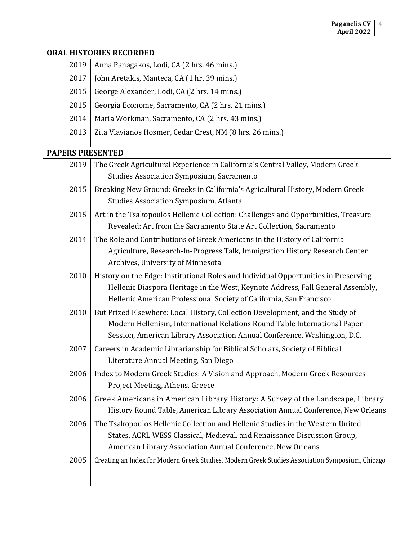#### **ORAL HISTORIES RECORDED**

- 2017 John Aretakis, Manteca, CA  $(1 \text{ hr. } 39 \text{ mins.})$
- 2015 George Alexander, Lodi, CA (2 hrs. 14 mins.)
- 2015 | Georgia Econome, Sacramento, CA (2 hrs. 21 mins.)
- 2014 | Maria Workman, Sacramento, CA (2 hrs. 43 mins.)
- 2013 | Zita Vlavianos Hosmer, Cedar Crest, NM (8 hrs. 26 mins.)

#### **PAPERS PRESENTED**

| 2019 | The Greek Agricultural Experience in California's Central Valley, Modern Greek                                                                                                                                                                |
|------|-----------------------------------------------------------------------------------------------------------------------------------------------------------------------------------------------------------------------------------------------|
|      | <b>Studies Association Symposium, Sacramento</b>                                                                                                                                                                                              |
| 2015 | Breaking New Ground: Greeks in California's Agricultural History, Modern Greek<br><b>Studies Association Symposium, Atlanta</b>                                                                                                               |
| 2015 | Art in the Tsakopoulos Hellenic Collection: Challenges and Opportunities, Treasure<br>Revealed: Art from the Sacramento State Art Collection, Sacramento                                                                                      |
| 2014 | The Role and Contributions of Greek Americans in the History of California<br>Agriculture, Research-In-Progress Talk, Immigration History Research Center<br>Archives, University of Minnesota                                                |
| 2010 | History on the Edge: Institutional Roles and Individual Opportunities in Preserving<br>Hellenic Diaspora Heritage in the West, Keynote Address, Fall General Assembly,<br>Hellenic American Professional Society of California, San Francisco |
| 2010 | But Prized Elsewhere: Local History, Collection Development, and the Study of<br>Modern Hellenism, International Relations Round Table International Paper<br>Session, American Library Association Annual Conference, Washington, D.C.       |
| 2007 | Careers in Academic Librarianship for Biblical Scholars, Society of Biblical<br>Literature Annual Meeting, San Diego                                                                                                                          |
| 2006 | Index to Modern Greek Studies: A Vision and Approach, Modern Greek Resources<br>Project Meeting, Athens, Greece                                                                                                                               |
| 2006 | Greek Americans in American Library History: A Survey of the Landscape, Library<br>History Round Table, American Library Association Annual Conference, New Orleans                                                                           |
| 2006 | The Tsakopoulos Hellenic Collection and Hellenic Studies in the Western United<br>States, ACRL WESS Classical, Medieval, and Renaissance Discussion Group,<br>American Library Association Annual Conference, New Orleans                     |
| 2005 | Creating an Index for Modern Greek Studies, Modern Greek Studies Association Symposium, Chicago                                                                                                                                               |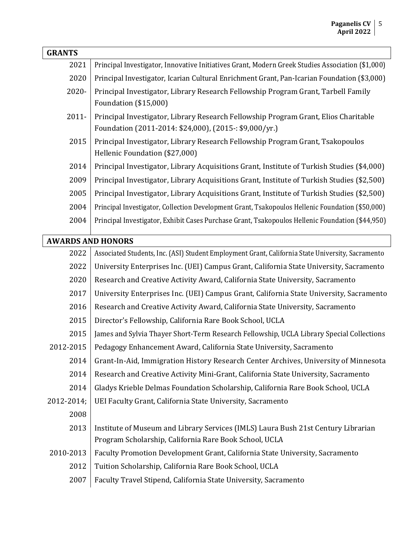| <b>GRANTS</b>            |                                                                                                                                               |
|--------------------------|-----------------------------------------------------------------------------------------------------------------------------------------------|
| 2021                     | Principal Investigator, Innovative Initiatives Grant, Modern Greek Studies Association (\$1,000)                                              |
| 2020                     | Principal Investigator, Icarian Cultural Enrichment Grant, Pan-Icarian Foundation (\$3,000)                                                   |
| 2020-                    | Principal Investigator, Library Research Fellowship Program Grant, Tarbell Family                                                             |
|                          | Foundation (\$15,000)                                                                                                                         |
| $2011 -$                 | Principal Investigator, Library Research Fellowship Program Grant, Elios Charitable<br>Foundation (2011-2014: \$24,000), (2015-: \$9,000/yr.) |
| 2015                     | Principal Investigator, Library Research Fellowship Program Grant, Tsakopoulos<br>Hellenic Foundation (\$27,000)                              |
| 2014                     | Principal Investigator, Library Acquisitions Grant, Institute of Turkish Studies (\$4,000)                                                    |
| 2009                     | Principal Investigator, Library Acquisitions Grant, Institute of Turkish Studies (\$2,500)                                                    |
| 2005                     | Principal Investigator, Library Acquisitions Grant, Institute of Turkish Studies (\$2,500)                                                    |
| 2004                     | Principal Investigator, Collection Development Grant, Tsakopoulos Hellenic Foundation (\$50,000)                                              |
| 2004                     | Principal Investigator, Exhibit Cases Purchase Grant, Tsakopoulos Hellenic Foundation (\$44,950)                                              |
| <b>AWARDS AND HONORS</b> |                                                                                                                                               |
| 2022                     | Associated Students, Inc. (ASI) Student Employment Grant, California State University, Sacramento                                             |
| 2022                     | University Enterprises Inc. (UEI) Campus Grant, California State University, Sacramento                                                       |
| 2020                     | Research and Creative Activity Award, California State University, Sacramento                                                                 |
| 2017                     | University Enterprises Inc. (UEI) Campus Grant, California State University, Sacramento                                                       |
| 2016                     | Research and Creative Activity Award, California State University, Sacramento                                                                 |
| 2015                     | Director's Fellowship, California Rare Book School, UCLA                                                                                      |
| 2015                     | James and Sylvia Thayer Short-Term Research Fellowship, UCLA Library Special Collections                                                      |
| 2012-2015                | Pedagogy Enhancement Award, California State University, Sacramento                                                                           |
| 2014                     | Grant-In-Aid, Immigration History Research Center Archives, University of Minnesota                                                           |
| 2014                     | Research and Creative Activity Mini-Grant, California State University, Sacramento                                                            |
| 2014                     | Gladys Krieble Delmas Foundation Scholarship, California Rare Book School, UCLA                                                               |
| 2012-2014;               | UEI Faculty Grant, California State University, Sacramento                                                                                    |
| 2008                     |                                                                                                                                               |
| 2013                     | Institute of Museum and Library Services (IMLS) Laura Bush 21st Century Librarian                                                             |
|                          | Program Scholarship, California Rare Book School, UCLA                                                                                        |
| 2010-2013                | Faculty Promotion Development Grant, California State University, Sacramento                                                                  |
| 2012                     | Tuition Scholarship, California Rare Book School, UCLA                                                                                        |
| 2007                     | Faculty Travel Stipend, California State University, Sacramento                                                                               |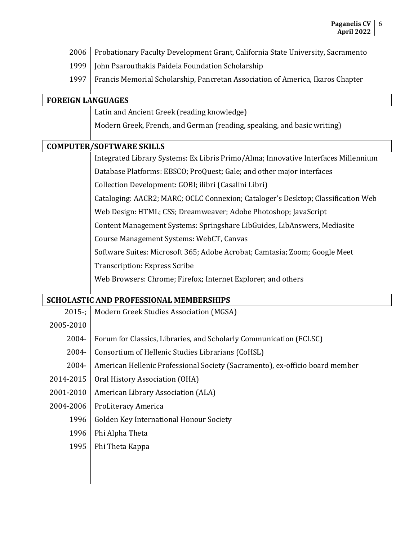- 2006 | Probationary Faculty Development Grant, California State University, Sacramento
- 1999 | John Psarouthakis Paideia Foundation Scholarship
- 1997 Francis Memorial Scholarship, Pancretan Association of America, Ikaros Chapter

#### **FOREIGN LANGUAGES**

Latin and Ancient Greek (reading knowledge)

Modern Greek, French, and German (reading, speaking, and basic writing)

#### **COMPUTER/SOFTWARE SKILLS**

Integrated Library Systems: Ex Libris Primo/Alma; Innovative Interfaces Millennium Database Platforms: EBSCO; ProQuest; Gale; and other major interfaces

Collection Development: GOBI; ilibri (Casalini Libri)

Cataloging: AACR2; MARC; OCLC Connexion; Cataloger's Desktop; Classification Web

Web Design: HTML; CSS; Dreamweaver; Adobe Photoshop; JavaScript

Content Management Systems: Springshare LibGuides, LibAnswers, Mediasite

Course Management Systems: WebCT, Canvas

Software Suites: Microsoft 365; Adobe Acrobat; Camtasia; Zoom; Google Meet

Transcription: Express Scribe

Web Browsers: Chrome; Firefox; Internet Explorer; and others

## **SCHOLASTIC AND PROFESSIONAL MEMBERSHIPS**

2015-; Modern Greek Studies Association (MGSA) 2005-2010 2004- Forum for Classics, Libraries, and Scholarly Communication (FCLSC) 2004- Consortium of Hellenic Studies Librarians (CoHSL) 2004- American Hellenic Professional Society (Sacramento), ex-officio board member 2014-2015 | Oral History Association (OHA) 2001-2010 | American Library Association (ALA) 2004-2006 | ProLiteracy America 1996 | Golden Key International Honour Society 1996 Phi Alpha Theta 1995 | Phi Theta Kappa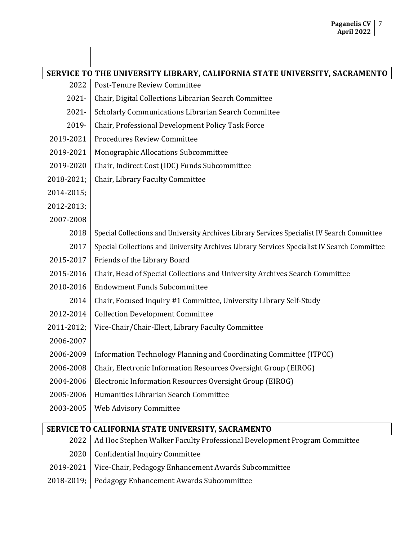|            | SERVICE TO THE UNIVERSITY LIBRARY, CALIFORNIA STATE UNIVERSITY, SACRAMENTO                  |  |
|------------|---------------------------------------------------------------------------------------------|--|
| 2022       | Post-Tenure Review Committee                                                                |  |
| $2021 -$   | Chair, Digital Collections Librarian Search Committee                                       |  |
| $2021 -$   | Scholarly Communications Librarian Search Committee                                         |  |
| 2019-      | Chair, Professional Development Policy Task Force                                           |  |
| 2019-2021  | <b>Procedures Review Committee</b>                                                          |  |
| 2019-2021  | Monographic Allocations Subcommittee                                                        |  |
| 2019-2020  | Chair, Indirect Cost (IDC) Funds Subcommittee                                               |  |
| 2018-2021; | Chair, Library Faculty Committee                                                            |  |
| 2014-2015; |                                                                                             |  |
| 2012-2013; |                                                                                             |  |
| 2007-2008  |                                                                                             |  |
| 2018       | Special Collections and University Archives Library Services Specialist IV Search Committee |  |
| 2017       | Special Collections and University Archives Library Services Specialist IV Search Committee |  |
| 2015-2017  | Friends of the Library Board                                                                |  |
| 2015-2016  | Chair, Head of Special Collections and University Archives Search Committee                 |  |
| 2010-2016  | <b>Endowment Funds Subcommittee</b>                                                         |  |
| 2014       | Chair, Focused Inquiry #1 Committee, University Library Self-Study                          |  |
| 2012-2014  | <b>Collection Development Committee</b>                                                     |  |
| 2011-2012; | Vice-Chair/Chair-Elect, Library Faculty Committee                                           |  |
| 2006-2007  |                                                                                             |  |
| 2006-2009  | Information Technology Planning and Coordinating Committee (ITPCC)                          |  |
| 2006-2008  | Chair, Electronic Information Resources Oversight Group (EIROG)                             |  |
| 2004-2006  | Electronic Information Resources Oversight Group (EIROG)                                    |  |
| 2005-2006  | Humanities Librarian Search Committee                                                       |  |
| 2003-2005  | Web Advisory Committee                                                                      |  |
|            | SERVICE TO CALIFORNIA STATE UNIVERSITY, SACRAMENTO                                          |  |

| 2022   Ad Hoc Stephen Walker Faculty Professional Development Program Committee |
|---------------------------------------------------------------------------------|
| 2020 Confidential Inquiry Committee                                             |
| 2019-2021   Vice-Chair, Pedagogy Enhancement Awards Subcommittee                |
| 2018-2019; Pedagogy Enhancement Awards Subcommittee                             |
|                                                                                 |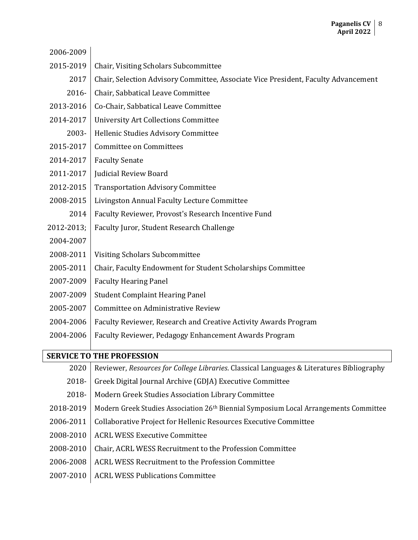| 2006-2009  |                                                                                    |
|------------|------------------------------------------------------------------------------------|
| 2015-2019  | Chair, Visiting Scholars Subcommittee                                              |
| 2017       | Chair, Selection Advisory Committee, Associate Vice President, Faculty Advancement |
| $2016 -$   | Chair, Sabbatical Leave Committee                                                  |
| 2013-2016  | Co-Chair, Sabbatical Leave Committee                                               |
| 2014-2017  | <b>University Art Collections Committee</b>                                        |
| 2003-      | Hellenic Studies Advisory Committee                                                |
| 2015-2017  | <b>Committee on Committees</b>                                                     |
| 2014-2017  | <b>Faculty Senate</b>                                                              |
| 2011-2017  | Judicial Review Board                                                              |
| 2012-2015  | <b>Transportation Advisory Committee</b>                                           |
| 2008-2015  | Livingston Annual Faculty Lecture Committee                                        |
| 2014       | Faculty Reviewer, Provost's Research Incentive Fund                                |
| 2012-2013; | Faculty Juror, Student Research Challenge                                          |
| 2004-2007  |                                                                                    |
| 2008-2011  | Visiting Scholars Subcommittee                                                     |
| 2005-2011  | Chair, Faculty Endowment for Student Scholarships Committee                        |
| 2007-2009  | <b>Faculty Hearing Panel</b>                                                       |
| 2007-2009  | <b>Student Complaint Hearing Panel</b>                                             |
| 2005-2007  | Committee on Administrative Review                                                 |
| 2004-2006  | Faculty Reviewer, Research and Creative Activity Awards Program                    |
| 2004-2006  | Faculty Reviewer, Pedagogy Enhancement Awards Program                              |
|            |                                                                                    |

# **SERVICE TO THE PROFESSION**

| 2020      | Reviewer, Resources for College Libraries. Classical Languages & Literatures Bibliography         |
|-----------|---------------------------------------------------------------------------------------------------|
| 2018-     | Greek Digital Journal Archive (GDJA) Executive Committee                                          |
| 2018-     | Modern Greek Studies Association Library Committee                                                |
| 2018-2019 | Modern Greek Studies Association 26 <sup>th</sup> Biennial Symposium Local Arrangements Committee |
| 2006-2011 | Collaborative Project for Hellenic Resources Executive Committee                                  |
| 2008-2010 | <b>ACRL WESS Executive Committee</b>                                                              |
| 2008-2010 | Chair, ACRL WESS Recruitment to the Profession Committee                                          |
| 2006-2008 | ACRL WESS Recruitment to the Profession Committee                                                 |
| 2007-2010 | <b>ACRL WESS Publications Committee</b>                                                           |